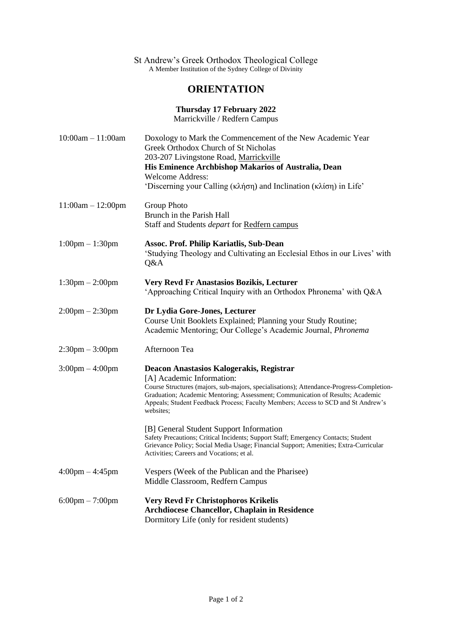#### St Andrew's Greek Orthodox Theological College A Member Institution of the Sydney College of Divinity

# **ORIENTATION**

**Thursday 17 February 2022**

Marrickville / Redfern Campus

| $10:00am - 11:00am$               | Doxology to Mark the Commencement of the New Academic Year<br>Greek Orthodox Church of St Nicholas<br>203-207 Livingstone Road, Marrickville<br>His Eminence Archbishop Makarios of Australia, Dean<br><b>Welcome Address:</b><br>'Discerning your Calling (κλήση) and Inclination (κλίση) in Life'                                                   |
|-----------------------------------|-------------------------------------------------------------------------------------------------------------------------------------------------------------------------------------------------------------------------------------------------------------------------------------------------------------------------------------------------------|
| $11:00am - 12:00pm$               | Group Photo<br>Brunch in the Parish Hall<br>Staff and Students depart for Redfern campus                                                                                                                                                                                                                                                              |
| $1:00 \text{pm} - 1:30 \text{pm}$ | <b>Assoc. Prof. Philip Kariatlis, Sub-Dean</b><br>'Studying Theology and Cultivating an Ecclesial Ethos in our Lives' with<br>Q&A                                                                                                                                                                                                                     |
| $1:30 \text{pm} - 2:00 \text{pm}$ | Very Revd Fr Anastasios Bozikis, Lecturer<br>'Approaching Critical Inquiry with an Orthodox Phronema' with Q&A                                                                                                                                                                                                                                        |
| $2:00 \text{pm} - 2:30 \text{pm}$ | Dr Lydia Gore-Jones, Lecturer<br>Course Unit Booklets Explained; Planning your Study Routine;<br>Academic Mentoring; Our College's Academic Journal, Phronema                                                                                                                                                                                         |
| $2:30 \text{pm} - 3:00 \text{pm}$ | Afternoon Tea                                                                                                                                                                                                                                                                                                                                         |
| $3:00 \text{pm} - 4:00 \text{pm}$ | Deacon Anastasios Kalogerakis, Registrar<br>[A] Academic Information:<br>Course Structures (majors, sub-majors, specialisations); Attendance-Progress-Completion-<br>Graduation; Academic Mentoring; Assessment; Communication of Results; Academic<br>Appeals; Student Feedback Process; Faculty Members; Access to SCD and St Andrew's<br>websites; |
|                                   | [B] General Student Support Information<br>Safety Precautions; Critical Incidents; Support Staff; Emergency Contacts; Student<br>Grievance Policy; Social Media Usage; Financial Support; Amenities; Extra-Curricular<br>Activities; Careers and Vocations; et al.                                                                                    |
| $4:00 \text{pm} - 4:45 \text{pm}$ | Vespers (Week of the Publican and the Pharisee)<br>Middle Classroom, Redfern Campus                                                                                                                                                                                                                                                                   |
| $6:00 \text{pm} - 7:00 \text{pm}$ | <b>Very Revd Fr Christophoros Krikelis</b><br>Archdiocese Chancellor, Chaplain in Residence<br>Dormitory Life (only for resident students)                                                                                                                                                                                                            |